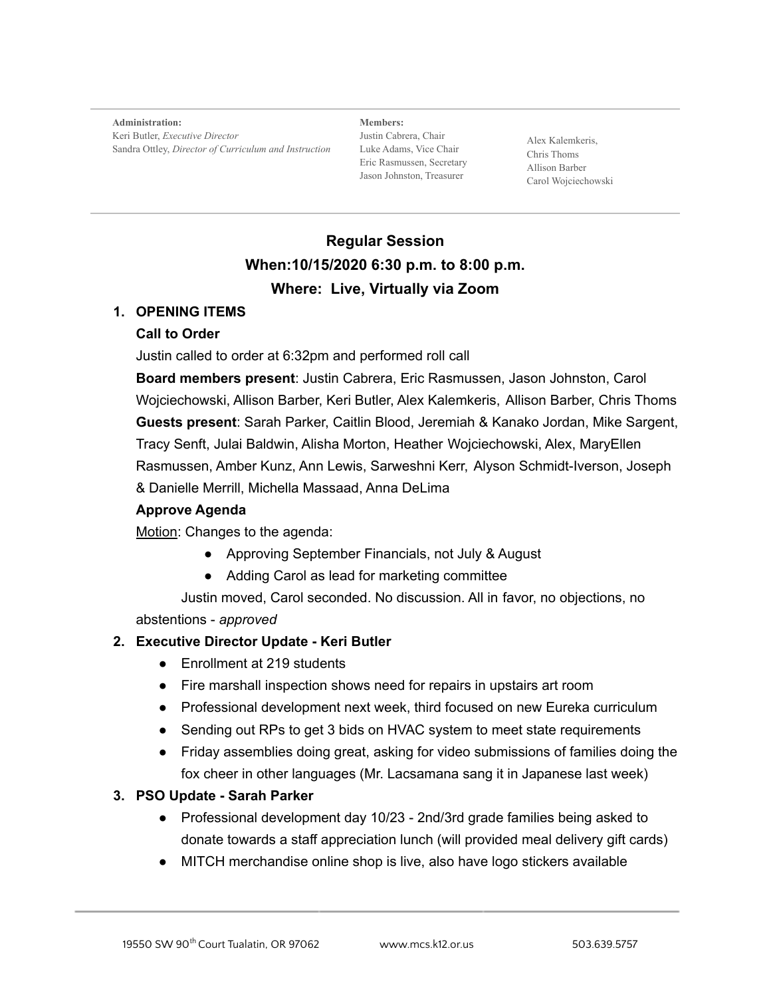**Administration:** Keri Butler, *Executive Director* Sandra Ottley, *Director of Curriculum and Instruction*

**Members:** Justin Cabrera, Chair Luke Adams, Vice Chair Eric Rasmussen, Secretary Jason Johnston, Treasurer

Alex Kalemkeris, Chris Thoms Allison Barber Carol Wojciechowski

## **Regular Session When:10/15/2020 6:30 p.m. to 8:00 p.m. Where: Live, Virtually via Zoom**

## **1. OPENING ITEMS**

#### **Call to Order**

Justin called to order at 6:32pm and performed roll call

**Board members present**: Justin Cabrera, Eric Rasmussen, Jason Johnston, Carol Wojciechowski, Allison Barber, Keri Butler, Alex Kalemkeris, Allison Barber, Chris Thoms **Guests present**: Sarah Parker, Caitlin Blood, Jeremiah & Kanako Jordan, Mike Sargent, Tracy Senft, Julai Baldwin, Alisha Morton, Heather Wojciechowski, Alex, MaryEllen Rasmussen, Amber Kunz, Ann Lewis, Sarweshni Kerr, Alyson Schmidt-Iverson, Joseph & Danielle Merrill, Michella Massaad, Anna DeLima

## **Approve Agenda**

Motion: Changes to the agenda:

- Approving September Financials, not July & August
- Adding Carol as lead for marketing committee

Justin moved, Carol seconded. No discussion. All in favor, no objections, no abstentions - *approved*

#### **2. Executive Director Update - Keri Butler**

- Enrollment at 219 students
- Fire marshall inspection shows need for repairs in upstairs art room
- Professional development next week, third focused on new Eureka curriculum
- Sending out RPs to get 3 bids on HVAC system to meet state requirements
- Friday assemblies doing great, asking for video submissions of families doing the fox cheer in other languages (Mr. Lacsamana sang it in Japanese last week)

## **3. PSO Update - Sarah Parker**

- Professional development day 10/23 2nd/3rd grade families being asked to donate towards a staff appreciation lunch (will provided meal delivery gift cards)
- MITCH merchandise online shop is live, also have logo stickers available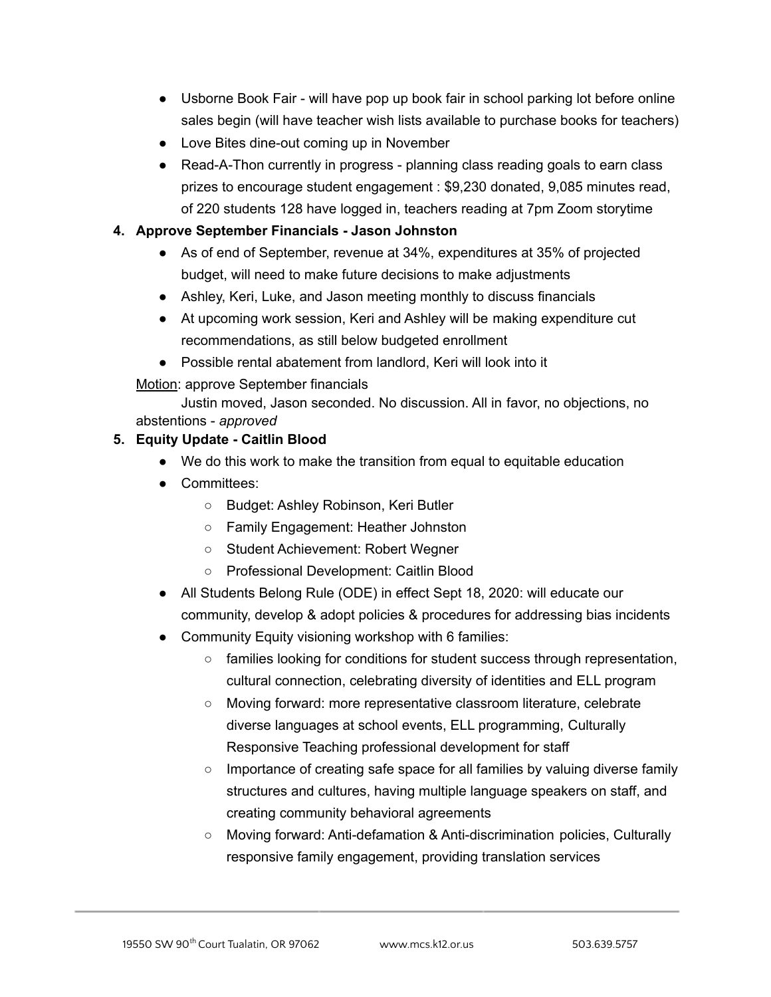- Usborne Book Fair will have pop up book fair in school parking lot before online sales begin (will have teacher wish lists available to purchase books for teachers)
- Love Bites dine-out coming up in November
- Read-A-Thon currently in progress planning class reading goals to earn class prizes to encourage student engagement : \$9,230 donated, 9,085 minutes read, of 220 students 128 have logged in, teachers reading at 7pm Zoom storytime

## **4. Approve September Financials - Jason Johnston**

- As of end of September, revenue at 34%, expenditures at 35% of projected budget, will need to make future decisions to make adjustments
- Ashley, Keri, Luke, and Jason meeting monthly to discuss financials
- At upcoming work session, Keri and Ashley will be making expenditure cut recommendations, as still below budgeted enrollment
- Possible rental abatement from landlord, Keri will look into it

Motion: approve September financials

Justin moved, Jason seconded. No discussion. All in favor, no objections, no abstentions - *approved*

## **5. Equity Update - Caitlin Blood**

- We do this work to make the transition from equal to equitable education
- Committees:
	- Budget: Ashley Robinson, Keri Butler
	- Family Engagement: Heather Johnston
	- Student Achievement: Robert Wegner
	- Professional Development: Caitlin Blood
- All Students Belong Rule (ODE) in effect Sept 18, 2020: will educate our community, develop & adopt policies & procedures for addressing bias incidents
- Community Equity visioning workshop with 6 families:
	- families looking for conditions for student success through representation, cultural connection, celebrating diversity of identities and ELL program
	- Moving forward: more representative classroom literature, celebrate diverse languages at school events, ELL programming, Culturally Responsive Teaching professional development for staff
	- Importance of creating safe space for all families by valuing diverse family structures and cultures, having multiple language speakers on staff, and creating community behavioral agreements
	- Moving forward: Anti-defamation & Anti-discrimination policies, Culturally responsive family engagement, providing translation services